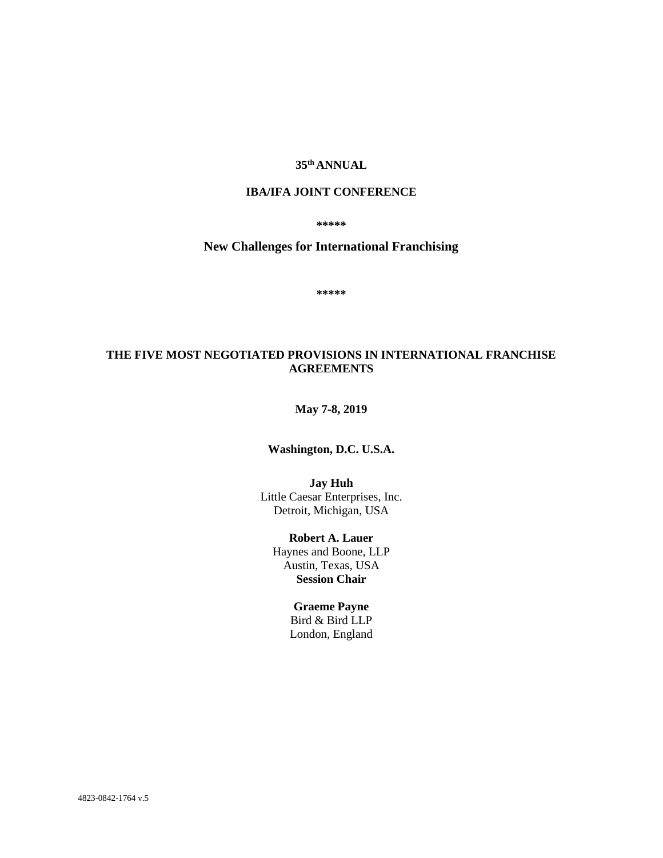#### **35 th ANNUAL**

## **IBA/IFA JOINT CONFERENCE**

**\*\*\*\*\***

# **New Challenges for International Franchising**

**\*\*\*\*\***

# **THE FIVE MOST NEGOTIATED PROVISIONS IN INTERNATIONAL FRANCHISE AGREEMENTS**

**May 7-8, 2019**

**Washington, D.C. U.S.A.**

**Jay Huh** Little Caesar Enterprises, Inc. Detroit, Michigan, USA

**Robert A. Lauer** Haynes and Boone, LLP Austin, Texas, USA **Session Chair** 

### **Graeme Payne** Bird & Bird LLP

London, England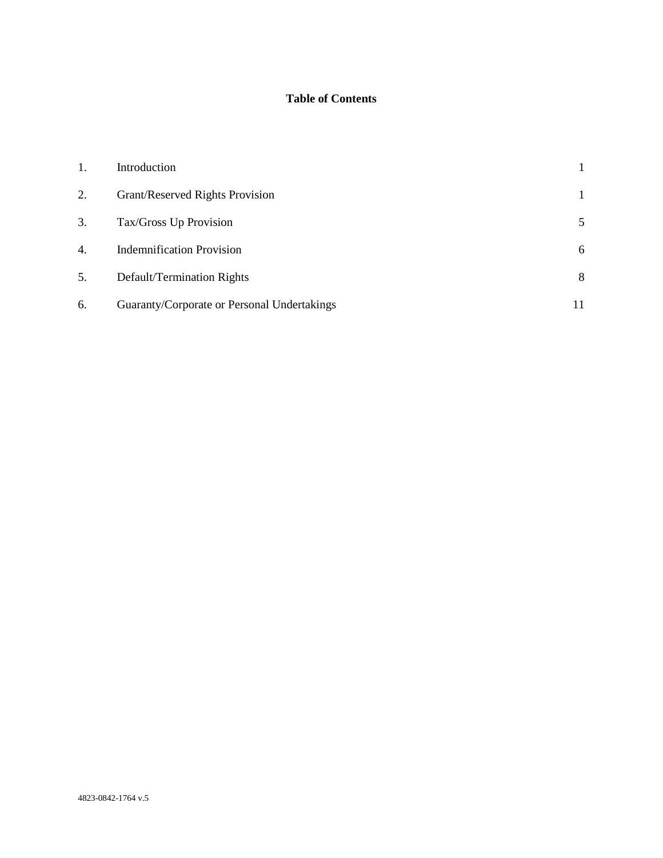# **Table of Contents**

| 1. | Introduction                                |    |
|----|---------------------------------------------|----|
| 2. | Grant/Reserved Rights Provision             |    |
| 3. | Tax/Gross Up Provision                      | 5  |
| 4. | <b>Indemnification Provision</b>            | 6  |
| 5. | Default/Termination Rights                  | 8  |
| 6. | Guaranty/Corporate or Personal Undertakings | 11 |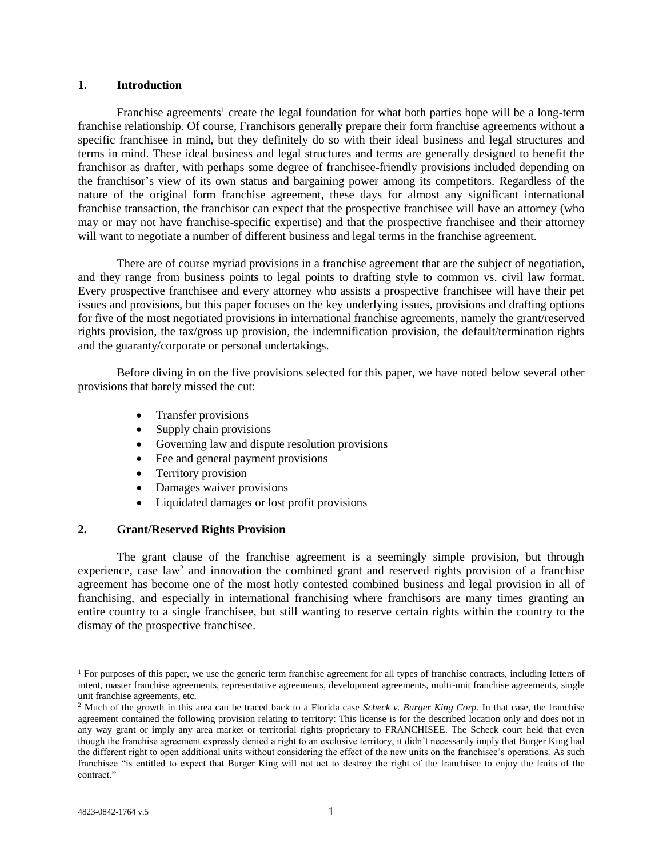#### **1. Introduction**

Franchise agreements<sup>1</sup> create the legal foundation for what both parties hope will be a long-term franchise relationship. Of course, Franchisors generally prepare their form franchise agreements without a specific franchisee in mind, but they definitely do so with their ideal business and legal structures and terms in mind. These ideal business and legal structures and terms are generally designed to benefit the franchisor as drafter, with perhaps some degree of franchisee-friendly provisions included depending on the franchisor's view of its own status and bargaining power among its competitors. Regardless of the nature of the original form franchise agreement, these days for almost any significant international franchise transaction, the franchisor can expect that the prospective franchisee will have an attorney (who may or may not have franchise-specific expertise) and that the prospective franchisee and their attorney will want to negotiate a number of different business and legal terms in the franchise agreement.

There are of course myriad provisions in a franchise agreement that are the subject of negotiation, and they range from business points to legal points to drafting style to common vs. civil law format. Every prospective franchisee and every attorney who assists a prospective franchisee will have their pet issues and provisions, but this paper focuses on the key underlying issues, provisions and drafting options for five of the most negotiated provisions in international franchise agreements, namely the grant/reserved rights provision, the tax/gross up provision, the indemnification provision, the default/termination rights and the guaranty/corporate or personal undertakings.

Before diving in on the five provisions selected for this paper, we have noted below several other provisions that barely missed the cut:

- Transfer provisions
- Supply chain provisions
- Governing law and dispute resolution provisions
- Fee and general payment provisions
- Territory provision
- Damages waiver provisions
- Liquidated damages or lost profit provisions

### **2. Grant/Reserved Rights Provision**

The grant clause of the franchise agreement is a seemingly simple provision, but through experience, case law<sup>2</sup> and innovation the combined grant and reserved rights provision of a franchise agreement has become one of the most hotly contested combined business and legal provision in all of franchising, and especially in international franchising where franchisors are many times granting an entire country to a single franchisee, but still wanting to reserve certain rights within the country to the dismay of the prospective franchisee.

 $\overline{a}$ 

 $<sup>1</sup>$  For purposes of this paper, we use the generic term franchise agreement for all types of franchise contracts, including letters of</sup> intent, master franchise agreements, representative agreements, development agreements, multi-unit franchise agreements, single unit franchise agreements, etc.

<sup>2</sup> Much of the growth in this area can be traced back to a Florida case *Scheck v. Burger King Corp*. In that case, the franchise agreement contained the following provision relating to territory: This license is for the described location only and does not in any way grant or imply any area market or territorial rights proprietary to FRANCHISEE. The Scheck court held that even though the franchise agreement expressly denied a right to an exclusive territory, it didn't necessarily imply that Burger King had the different right to open additional units without considering the effect of the new units on the franchisee's operations. As such franchisee "is entitled to expect that Burger King will not act to destroy the right of the franchisee to enjoy the fruits of the contract."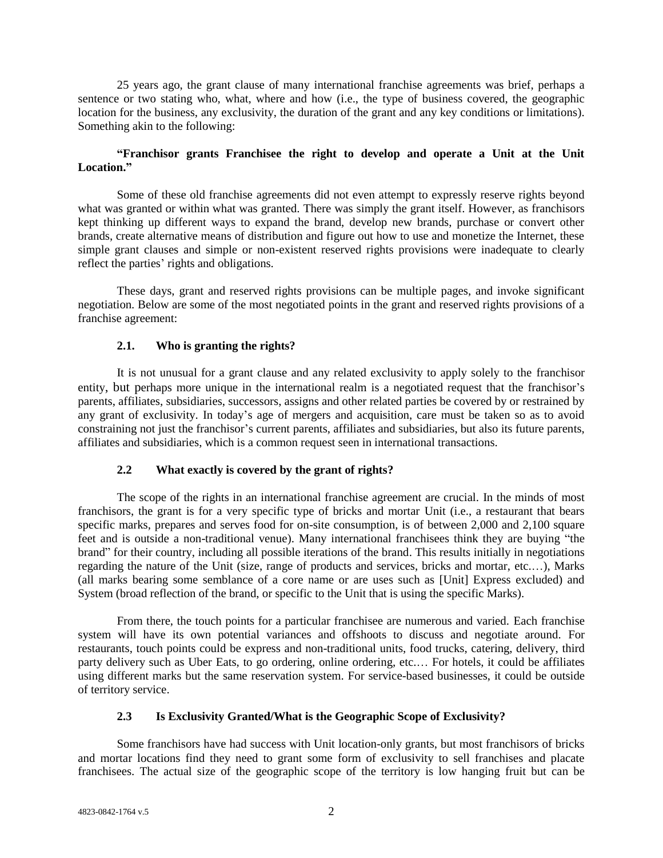25 years ago, the grant clause of many international franchise agreements was brief, perhaps a sentence or two stating who, what, where and how (i.e., the type of business covered, the geographic location for the business, any exclusivity, the duration of the grant and any key conditions or limitations). Something akin to the following:

### **"Franchisor grants Franchisee the right to develop and operate a Unit at the Unit Location."**

Some of these old franchise agreements did not even attempt to expressly reserve rights beyond what was granted or within what was granted. There was simply the grant itself. However, as franchisors kept thinking up different ways to expand the brand, develop new brands, purchase or convert other brands, create alternative means of distribution and figure out how to use and monetize the Internet, these simple grant clauses and simple or non-existent reserved rights provisions were inadequate to clearly reflect the parties' rights and obligations.

These days, grant and reserved rights provisions can be multiple pages, and invoke significant negotiation. Below are some of the most negotiated points in the grant and reserved rights provisions of a franchise agreement:

### **2.1. Who is granting the rights?**

It is not unusual for a grant clause and any related exclusivity to apply solely to the franchisor entity, but perhaps more unique in the international realm is a negotiated request that the franchisor's parents, affiliates, subsidiaries, successors, assigns and other related parties be covered by or restrained by any grant of exclusivity. In today's age of mergers and acquisition, care must be taken so as to avoid constraining not just the franchisor's current parents, affiliates and subsidiaries, but also its future parents, affiliates and subsidiaries, which is a common request seen in international transactions.

#### **2.2 What exactly is covered by the grant of rights?**

The scope of the rights in an international franchise agreement are crucial. In the minds of most franchisors, the grant is for a very specific type of bricks and mortar Unit (i.e., a restaurant that bears specific marks, prepares and serves food for on-site consumption, is of between 2,000 and 2,100 square feet and is outside a non-traditional venue). Many international franchisees think they are buying "the brand" for their country, including all possible iterations of the brand. This results initially in negotiations regarding the nature of the Unit (size, range of products and services, bricks and mortar, etc.…), Marks (all marks bearing some semblance of a core name or are uses such as [Unit] Express excluded) and System (broad reflection of the brand, or specific to the Unit that is using the specific Marks).

From there, the touch points for a particular franchisee are numerous and varied. Each franchise system will have its own potential variances and offshoots to discuss and negotiate around. For restaurants, touch points could be express and non-traditional units, food trucks, catering, delivery, third party delivery such as Uber Eats, to go ordering, online ordering, etc.… For hotels, it could be affiliates using different marks but the same reservation system. For service-based businesses, it could be outside of territory service.

## **2.3 Is Exclusivity Granted/What is the Geographic Scope of Exclusivity?**

Some franchisors have had success with Unit location-only grants, but most franchisors of bricks and mortar locations find they need to grant some form of exclusivity to sell franchises and placate franchisees. The actual size of the geographic scope of the territory is low hanging fruit but can be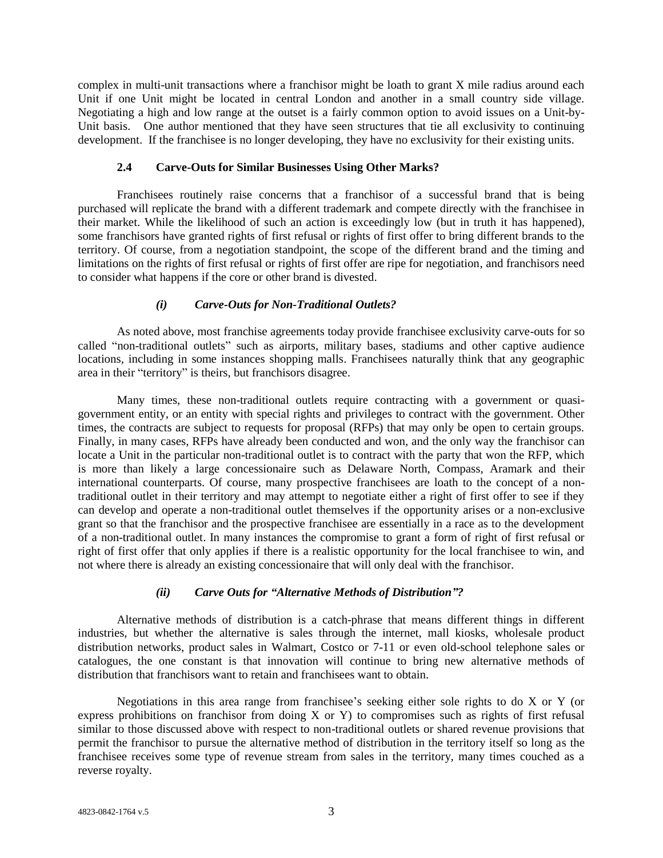complex in multi-unit transactions where a franchisor might be loath to grant X mile radius around each Unit if one Unit might be located in central London and another in a small country side village. Negotiating a high and low range at the outset is a fairly common option to avoid issues on a Unit-by-Unit basis. One author mentioned that they have seen structures that tie all exclusivity to continuing development. If the franchisee is no longer developing, they have no exclusivity for their existing units.

### **2.4 Carve-Outs for Similar Businesses Using Other Marks?**

Franchisees routinely raise concerns that a franchisor of a successful brand that is being purchased will replicate the brand with a different trademark and compete directly with the franchisee in their market. While the likelihood of such an action is exceedingly low (but in truth it has happened), some franchisors have granted rights of first refusal or rights of first offer to bring different brands to the territory. Of course, from a negotiation standpoint, the scope of the different brand and the timing and limitations on the rights of first refusal or rights of first offer are ripe for negotiation, and franchisors need to consider what happens if the core or other brand is divested.

## *(i) Carve-Outs for Non-Traditional Outlets?*

As noted above, most franchise agreements today provide franchisee exclusivity carve-outs for so called "non-traditional outlets" such as airports, military bases, stadiums and other captive audience locations, including in some instances shopping malls. Franchisees naturally think that any geographic area in their "territory" is theirs, but franchisors disagree.

Many times, these non-traditional outlets require contracting with a government or quasigovernment entity, or an entity with special rights and privileges to contract with the government. Other times, the contracts are subject to requests for proposal (RFPs) that may only be open to certain groups. Finally, in many cases, RFPs have already been conducted and won, and the only way the franchisor can locate a Unit in the particular non-traditional outlet is to contract with the party that won the RFP, which is more than likely a large concessionaire such as Delaware North, Compass, Aramark and their international counterparts. Of course, many prospective franchisees are loath to the concept of a nontraditional outlet in their territory and may attempt to negotiate either a right of first offer to see if they can develop and operate a non-traditional outlet themselves if the opportunity arises or a non-exclusive grant so that the franchisor and the prospective franchisee are essentially in a race as to the development of a non-traditional outlet. In many instances the compromise to grant a form of right of first refusal or right of first offer that only applies if there is a realistic opportunity for the local franchisee to win, and not where there is already an existing concessionaire that will only deal with the franchisor.

## *(ii) Carve Outs for "Alternative Methods of Distribution"?*

Alternative methods of distribution is a catch-phrase that means different things in different industries, but whether the alternative is sales through the internet, mall kiosks, wholesale product distribution networks, product sales in Walmart, Costco or 7-11 or even old-school telephone sales or catalogues, the one constant is that innovation will continue to bring new alternative methods of distribution that franchisors want to retain and franchisees want to obtain.

Negotiations in this area range from franchisee's seeking either sole rights to do X or Y (or express prohibitions on franchisor from doing  $X$  or  $Y$ ) to compromises such as rights of first refusal similar to those discussed above with respect to non-traditional outlets or shared revenue provisions that permit the franchisor to pursue the alternative method of distribution in the territory itself so long as the franchisee receives some type of revenue stream from sales in the territory, many times couched as a reverse royalty.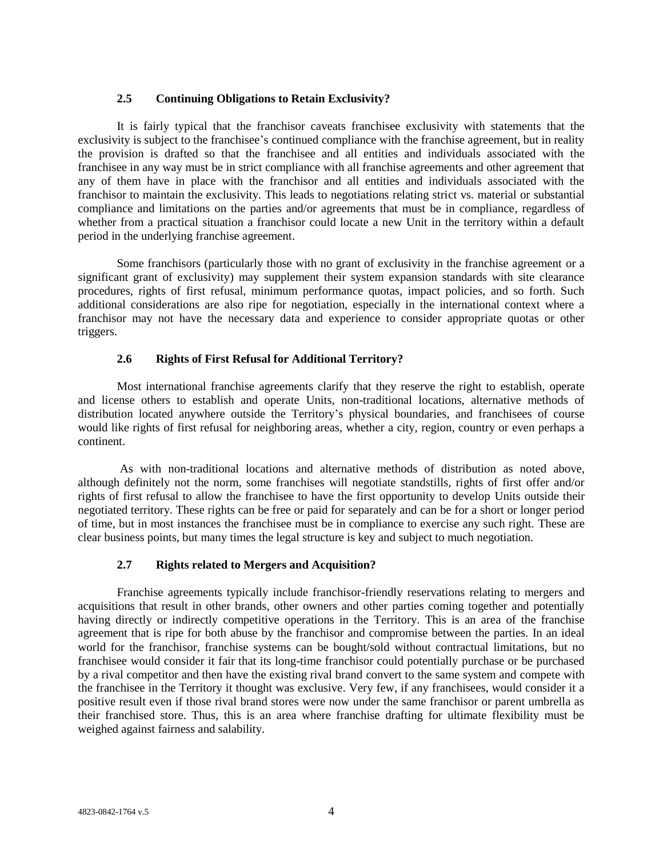### **2.5 Continuing Obligations to Retain Exclusivity?**

It is fairly typical that the franchisor caveats franchisee exclusivity with statements that the exclusivity is subject to the franchisee's continued compliance with the franchise agreement, but in reality the provision is drafted so that the franchisee and all entities and individuals associated with the franchisee in any way must be in strict compliance with all franchise agreements and other agreement that any of them have in place with the franchisor and all entities and individuals associated with the franchisor to maintain the exclusivity. This leads to negotiations relating strict vs. material or substantial compliance and limitations on the parties and/or agreements that must be in compliance, regardless of whether from a practical situation a franchisor could locate a new Unit in the territory within a default period in the underlying franchise agreement.

Some franchisors (particularly those with no grant of exclusivity in the franchise agreement or a significant grant of exclusivity) may supplement their system expansion standards with site clearance procedures, rights of first refusal, minimum performance quotas, impact policies, and so forth. Such additional considerations are also ripe for negotiation, especially in the international context where a franchisor may not have the necessary data and experience to consider appropriate quotas or other triggers.

### **2.6 Rights of First Refusal for Additional Territory?**

Most international franchise agreements clarify that they reserve the right to establish, operate and license others to establish and operate Units, non-traditional locations, alternative methods of distribution located anywhere outside the Territory's physical boundaries, and franchisees of course would like rights of first refusal for neighboring areas, whether a city, region, country or even perhaps a continent.

As with non-traditional locations and alternative methods of distribution as noted above, although definitely not the norm, some franchises will negotiate standstills, rights of first offer and/or rights of first refusal to allow the franchisee to have the first opportunity to develop Units outside their negotiated territory. These rights can be free or paid for separately and can be for a short or longer period of time, but in most instances the franchisee must be in compliance to exercise any such right. These are clear business points, but many times the legal structure is key and subject to much negotiation.

## **2.7 Rights related to Mergers and Acquisition?**

Franchise agreements typically include franchisor-friendly reservations relating to mergers and acquisitions that result in other brands, other owners and other parties coming together and potentially having directly or indirectly competitive operations in the Territory. This is an area of the franchise agreement that is ripe for both abuse by the franchisor and compromise between the parties. In an ideal world for the franchisor, franchise systems can be bought/sold without contractual limitations, but no franchisee would consider it fair that its long-time franchisor could potentially purchase or be purchased by a rival competitor and then have the existing rival brand convert to the same system and compete with the franchisee in the Territory it thought was exclusive. Very few, if any franchisees, would consider it a positive result even if those rival brand stores were now under the same franchisor or parent umbrella as their franchised store. Thus, this is an area where franchise drafting for ultimate flexibility must be weighed against fairness and salability.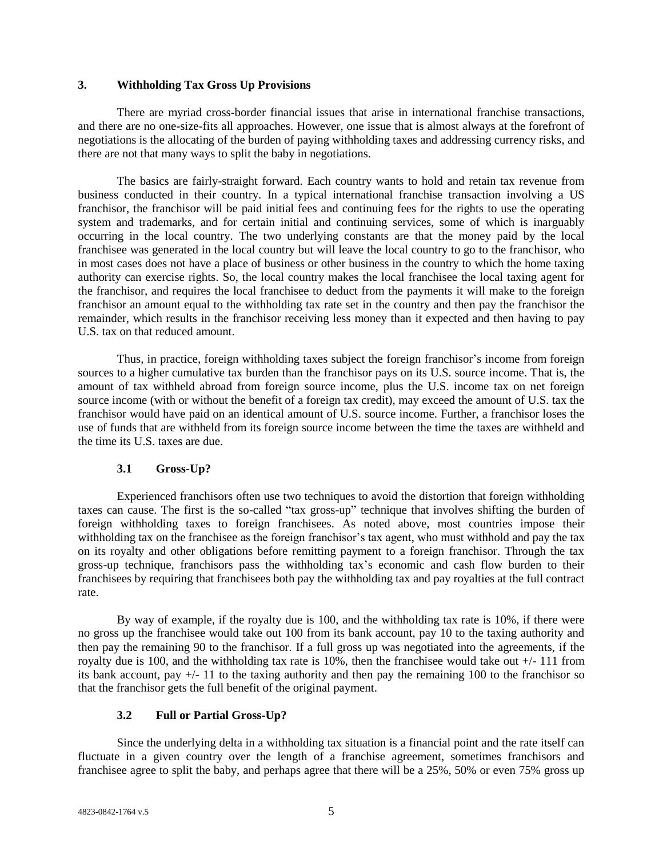#### **3. Withholding Tax Gross Up Provisions**

There are myriad cross-border financial issues that arise in international franchise transactions, and there are no one-size-fits all approaches. However, one issue that is almost always at the forefront of negotiations is the allocating of the burden of paying withholding taxes and addressing currency risks, and there are not that many ways to split the baby in negotiations.

The basics are fairly-straight forward. Each country wants to hold and retain tax revenue from business conducted in their country. In a typical international franchise transaction involving a US franchisor, the franchisor will be paid initial fees and continuing fees for the rights to use the operating system and trademarks, and for certain initial and continuing services, some of which is inarguably occurring in the local country. The two underlying constants are that the money paid by the local franchisee was generated in the local country but will leave the local country to go to the franchisor, who in most cases does not have a place of business or other business in the country to which the home taxing authority can exercise rights. So, the local country makes the local franchisee the local taxing agent for the franchisor, and requires the local franchisee to deduct from the payments it will make to the foreign franchisor an amount equal to the withholding tax rate set in the country and then pay the franchisor the remainder, which results in the franchisor receiving less money than it expected and then having to pay U.S. tax on that reduced amount.

Thus, in practice, foreign withholding taxes subject the foreign franchisor's income from foreign sources to a higher cumulative tax burden than the franchisor pays on its U.S. source income. That is, the amount of tax withheld abroad from foreign source income, plus the U.S. income tax on net foreign source income (with or without the benefit of a foreign tax credit), may exceed the amount of U.S. tax the franchisor would have paid on an identical amount of U.S. source income. Further, a franchisor loses the use of funds that are withheld from its foreign source income between the time the taxes are withheld and the time its U.S. taxes are due.

## **3.1 Gross-Up?**

Experienced franchisors often use two techniques to avoid the distortion that foreign withholding taxes can cause. The first is the so-called "tax gross-up" technique that involves shifting the burden of foreign withholding taxes to foreign franchisees. As noted above, most countries impose their withholding tax on the franchisee as the foreign franchisor's tax agent, who must withhold and pay the tax on its royalty and other obligations before remitting payment to a foreign franchisor. Through the tax gross-up technique, franchisors pass the withholding tax's economic and cash flow burden to their franchisees by requiring that franchisees both pay the withholding tax and pay royalties at the full contract rate.

By way of example, if the royalty due is 100, and the withholding tax rate is 10%, if there were no gross up the franchisee would take out 100 from its bank account, pay 10 to the taxing authority and then pay the remaining 90 to the franchisor. If a full gross up was negotiated into the agreements, if the royalty due is 100, and the withholding tax rate is 10%, then the franchisee would take out +/- 111 from its bank account, pay +/- 11 to the taxing authority and then pay the remaining 100 to the franchisor so that the franchisor gets the full benefit of the original payment.

## **3.2 Full or Partial Gross-Up?**

Since the underlying delta in a withholding tax situation is a financial point and the rate itself can fluctuate in a given country over the length of a franchise agreement, sometimes franchisors and franchisee agree to split the baby, and perhaps agree that there will be a 25%, 50% or even 75% gross up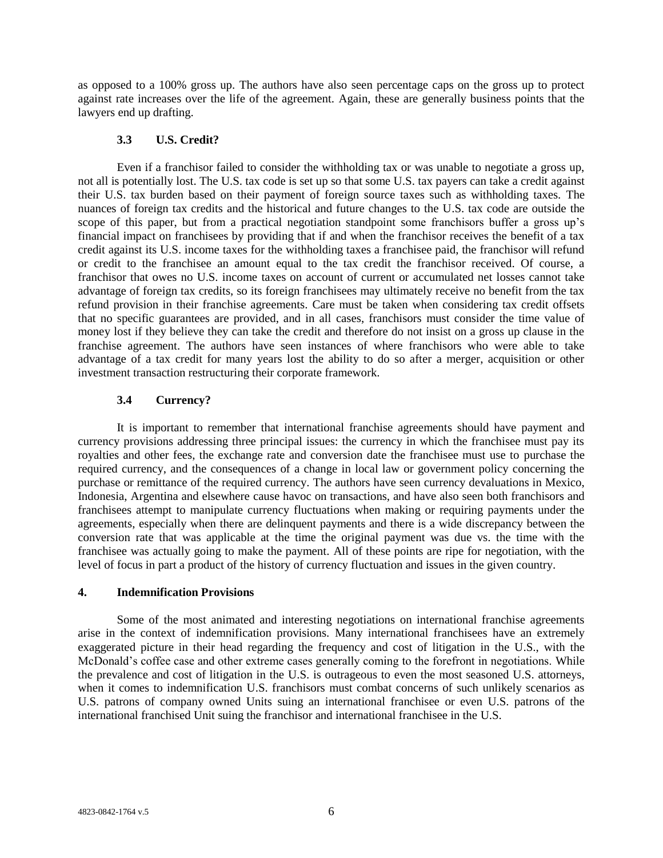as opposed to a 100% gross up. The authors have also seen percentage caps on the gross up to protect against rate increases over the life of the agreement. Again, these are generally business points that the lawyers end up drafting.

### **3.3 U.S. Credit?**

Even if a franchisor failed to consider the withholding tax or was unable to negotiate a gross up, not all is potentially lost. The U.S. tax code is set up so that some U.S. tax payers can take a credit against their U.S. tax burden based on their payment of foreign source taxes such as withholding taxes. The nuances of foreign tax credits and the historical and future changes to the U.S. tax code are outside the scope of this paper, but from a practical negotiation standpoint some franchisors buffer a gross up's financial impact on franchisees by providing that if and when the franchisor receives the benefit of a tax credit against its U.S. income taxes for the withholding taxes a franchisee paid, the franchisor will refund or credit to the franchisee an amount equal to the tax credit the franchisor received. Of course, a franchisor that owes no U.S. income taxes on account of current or accumulated net losses cannot take advantage of foreign tax credits, so its foreign franchisees may ultimately receive no benefit from the tax refund provision in their franchise agreements. Care must be taken when considering tax credit offsets that no specific guarantees are provided, and in all cases, franchisors must consider the time value of money lost if they believe they can take the credit and therefore do not insist on a gross up clause in the franchise agreement. The authors have seen instances of where franchisors who were able to take advantage of a tax credit for many years lost the ability to do so after a merger, acquisition or other investment transaction restructuring their corporate framework.

## **3.4 Currency?**

It is important to remember that international franchise agreements should have payment and currency provisions addressing three principal issues: the currency in which the franchisee must pay its royalties and other fees, the exchange rate and conversion date the franchisee must use to purchase the required currency, and the consequences of a change in local law or government policy concerning the purchase or remittance of the required currency. The authors have seen currency devaluations in Mexico, Indonesia, Argentina and elsewhere cause havoc on transactions, and have also seen both franchisors and franchisees attempt to manipulate currency fluctuations when making or requiring payments under the agreements, especially when there are delinquent payments and there is a wide discrepancy between the conversion rate that was applicable at the time the original payment was due vs. the time with the franchisee was actually going to make the payment. All of these points are ripe for negotiation, with the level of focus in part a product of the history of currency fluctuation and issues in the given country.

## **4. Indemnification Provisions**

Some of the most animated and interesting negotiations on international franchise agreements arise in the context of indemnification provisions. Many international franchisees have an extremely exaggerated picture in their head regarding the frequency and cost of litigation in the U.S., with the McDonald's coffee case and other extreme cases generally coming to the forefront in negotiations. While the prevalence and cost of litigation in the U.S. is outrageous to even the most seasoned U.S. attorneys, when it comes to indemnification U.S. franchisors must combat concerns of such unlikely scenarios as U.S. patrons of company owned Units suing an international franchisee or even U.S. patrons of the international franchised Unit suing the franchisor and international franchisee in the U.S.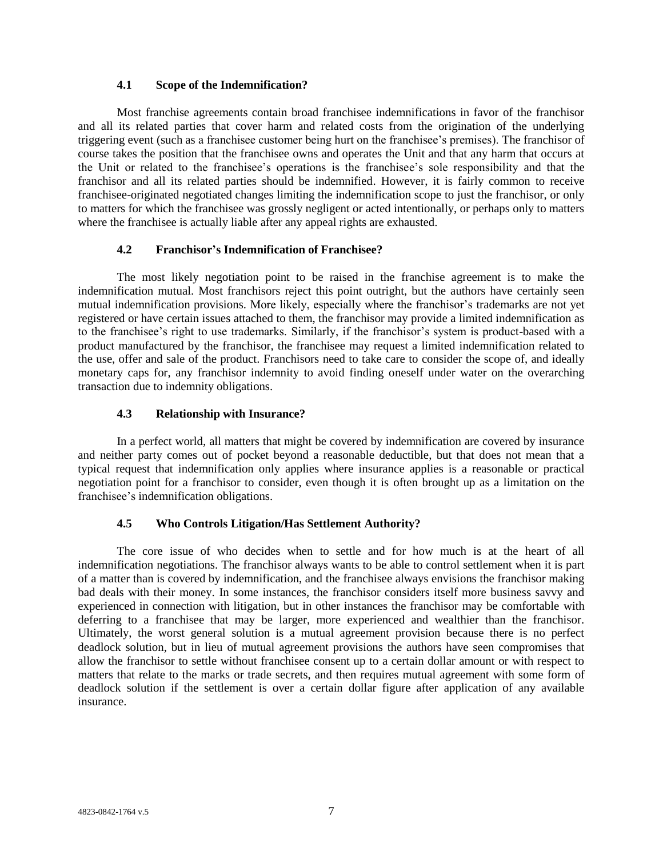#### **4.1 Scope of the Indemnification?**

Most franchise agreements contain broad franchisee indemnifications in favor of the franchisor and all its related parties that cover harm and related costs from the origination of the underlying triggering event (such as a franchisee customer being hurt on the franchisee's premises). The franchisor of course takes the position that the franchisee owns and operates the Unit and that any harm that occurs at the Unit or related to the franchisee's operations is the franchisee's sole responsibility and that the franchisor and all its related parties should be indemnified. However, it is fairly common to receive franchisee-originated negotiated changes limiting the indemnification scope to just the franchisor, or only to matters for which the franchisee was grossly negligent or acted intentionally, or perhaps only to matters where the franchisee is actually liable after any appeal rights are exhausted.

## **4.2 Franchisor's Indemnification of Franchisee?**

The most likely negotiation point to be raised in the franchise agreement is to make the indemnification mutual. Most franchisors reject this point outright, but the authors have certainly seen mutual indemnification provisions. More likely, especially where the franchisor's trademarks are not yet registered or have certain issues attached to them, the franchisor may provide a limited indemnification as to the franchisee's right to use trademarks. Similarly, if the franchisor's system is product-based with a product manufactured by the franchisor, the franchisee may request a limited indemnification related to the use, offer and sale of the product. Franchisors need to take care to consider the scope of, and ideally monetary caps for, any franchisor indemnity to avoid finding oneself under water on the overarching transaction due to indemnity obligations.

### **4.3 Relationship with Insurance?**

In a perfect world, all matters that might be covered by indemnification are covered by insurance and neither party comes out of pocket beyond a reasonable deductible, but that does not mean that a typical request that indemnification only applies where insurance applies is a reasonable or practical negotiation point for a franchisor to consider, even though it is often brought up as a limitation on the franchisee's indemnification obligations.

## **4.5 Who Controls Litigation/Has Settlement Authority?**

The core issue of who decides when to settle and for how much is at the heart of all indemnification negotiations. The franchisor always wants to be able to control settlement when it is part of a matter than is covered by indemnification, and the franchisee always envisions the franchisor making bad deals with their money. In some instances, the franchisor considers itself more business savvy and experienced in connection with litigation, but in other instances the franchisor may be comfortable with deferring to a franchisee that may be larger, more experienced and wealthier than the franchisor. Ultimately, the worst general solution is a mutual agreement provision because there is no perfect deadlock solution, but in lieu of mutual agreement provisions the authors have seen compromises that allow the franchisor to settle without franchisee consent up to a certain dollar amount or with respect to matters that relate to the marks or trade secrets, and then requires mutual agreement with some form of deadlock solution if the settlement is over a certain dollar figure after application of any available insurance.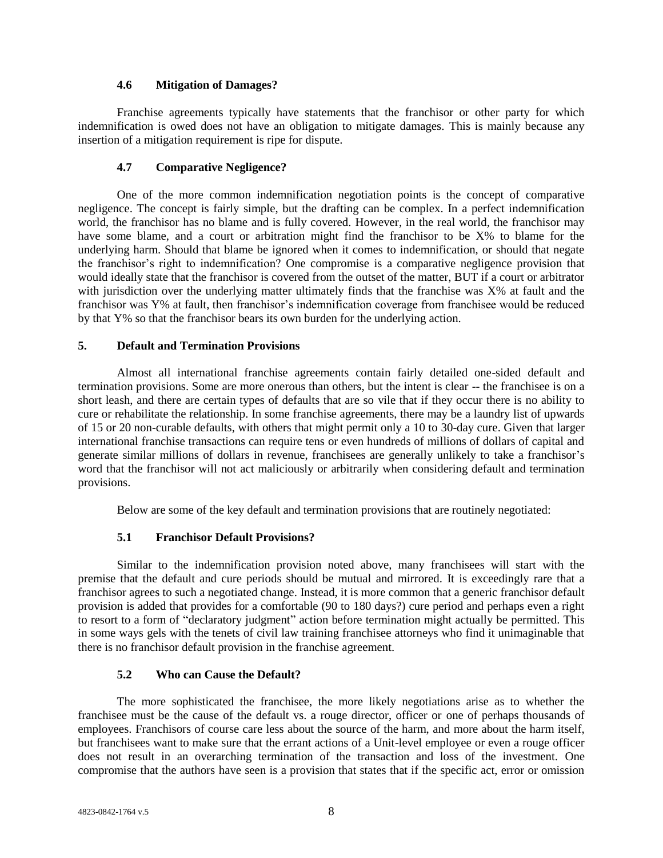### **4.6 Mitigation of Damages?**

Franchise agreements typically have statements that the franchisor or other party for which indemnification is owed does not have an obligation to mitigate damages. This is mainly because any insertion of a mitigation requirement is ripe for dispute.

## **4.7 Comparative Negligence?**

One of the more common indemnification negotiation points is the concept of comparative negligence. The concept is fairly simple, but the drafting can be complex. In a perfect indemnification world, the franchisor has no blame and is fully covered. However, in the real world, the franchisor may have some blame, and a court or arbitration might find the franchisor to be X% to blame for the underlying harm. Should that blame be ignored when it comes to indemnification, or should that negate the franchisor's right to indemnification? One compromise is a comparative negligence provision that would ideally state that the franchisor is covered from the outset of the matter, BUT if a court or arbitrator with jurisdiction over the underlying matter ultimately finds that the franchise was X% at fault and the franchisor was Y% at fault, then franchisor's indemnification coverage from franchisee would be reduced by that Y% so that the franchisor bears its own burden for the underlying action.

## **5. Default and Termination Provisions**

Almost all international franchise agreements contain fairly detailed one-sided default and termination provisions. Some are more onerous than others, but the intent is clear -- the franchisee is on a short leash, and there are certain types of defaults that are so vile that if they occur there is no ability to cure or rehabilitate the relationship. In some franchise agreements, there may be a laundry list of upwards of 15 or 20 non-curable defaults, with others that might permit only a 10 to 30-day cure. Given that larger international franchise transactions can require tens or even hundreds of millions of dollars of capital and generate similar millions of dollars in revenue, franchisees are generally unlikely to take a franchisor's word that the franchisor will not act maliciously or arbitrarily when considering default and termination provisions.

Below are some of the key default and termination provisions that are routinely negotiated:

## **5.1 Franchisor Default Provisions?**

Similar to the indemnification provision noted above, many franchisees will start with the premise that the default and cure periods should be mutual and mirrored. It is exceedingly rare that a franchisor agrees to such a negotiated change. Instead, it is more common that a generic franchisor default provision is added that provides for a comfortable (90 to 180 days?) cure period and perhaps even a right to resort to a form of "declaratory judgment" action before termination might actually be permitted. This in some ways gels with the tenets of civil law training franchisee attorneys who find it unimaginable that there is no franchisor default provision in the franchise agreement.

# **5.2 Who can Cause the Default?**

The more sophisticated the franchisee, the more likely negotiations arise as to whether the franchisee must be the cause of the default vs. a rouge director, officer or one of perhaps thousands of employees. Franchisors of course care less about the source of the harm, and more about the harm itself, but franchisees want to make sure that the errant actions of a Unit-level employee or even a rouge officer does not result in an overarching termination of the transaction and loss of the investment. One compromise that the authors have seen is a provision that states that if the specific act, error or omission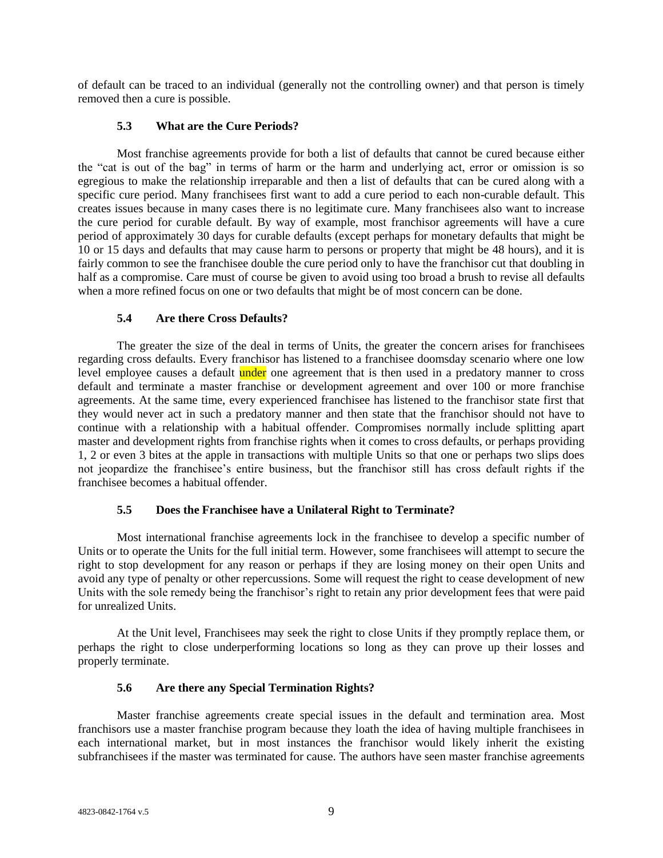of default can be traced to an individual (generally not the controlling owner) and that person is timely removed then a cure is possible.

## **5.3 What are the Cure Periods?**

Most franchise agreements provide for both a list of defaults that cannot be cured because either the "cat is out of the bag" in terms of harm or the harm and underlying act, error or omission is so egregious to make the relationship irreparable and then a list of defaults that can be cured along with a specific cure period. Many franchisees first want to add a cure period to each non-curable default. This creates issues because in many cases there is no legitimate cure. Many franchisees also want to increase the cure period for curable default. By way of example, most franchisor agreements will have a cure period of approximately 30 days for curable defaults (except perhaps for monetary defaults that might be 10 or 15 days and defaults that may cause harm to persons or property that might be 48 hours), and it is fairly common to see the franchisee double the cure period only to have the franchisor cut that doubling in half as a compromise. Care must of course be given to avoid using too broad a brush to revise all defaults when a more refined focus on one or two defaults that might be of most concern can be done.

### **5.4 Are there Cross Defaults?**

The greater the size of the deal in terms of Units, the greater the concern arises for franchisees regarding cross defaults. Every franchisor has listened to a franchisee doomsday scenario where one low level employee causes a default under one agreement that is then used in a predatory manner to cross default and terminate a master franchise or development agreement and over 100 or more franchise agreements. At the same time, every experienced franchisee has listened to the franchisor state first that they would never act in such a predatory manner and then state that the franchisor should not have to continue with a relationship with a habitual offender. Compromises normally include splitting apart master and development rights from franchise rights when it comes to cross defaults, or perhaps providing 1, 2 or even 3 bites at the apple in transactions with multiple Units so that one or perhaps two slips does not jeopardize the franchisee's entire business, but the franchisor still has cross default rights if the franchisee becomes a habitual offender.

## **5.5 Does the Franchisee have a Unilateral Right to Terminate?**

Most international franchise agreements lock in the franchisee to develop a specific number of Units or to operate the Units for the full initial term. However, some franchisees will attempt to secure the right to stop development for any reason or perhaps if they are losing money on their open Units and avoid any type of penalty or other repercussions. Some will request the right to cease development of new Units with the sole remedy being the franchisor's right to retain any prior development fees that were paid for unrealized Units.

At the Unit level, Franchisees may seek the right to close Units if they promptly replace them, or perhaps the right to close underperforming locations so long as they can prove up their losses and properly terminate.

## **5.6 Are there any Special Termination Rights?**

Master franchise agreements create special issues in the default and termination area. Most franchisors use a master franchise program because they loath the idea of having multiple franchisees in each international market, but in most instances the franchisor would likely inherit the existing subfranchisees if the master was terminated for cause. The authors have seen master franchise agreements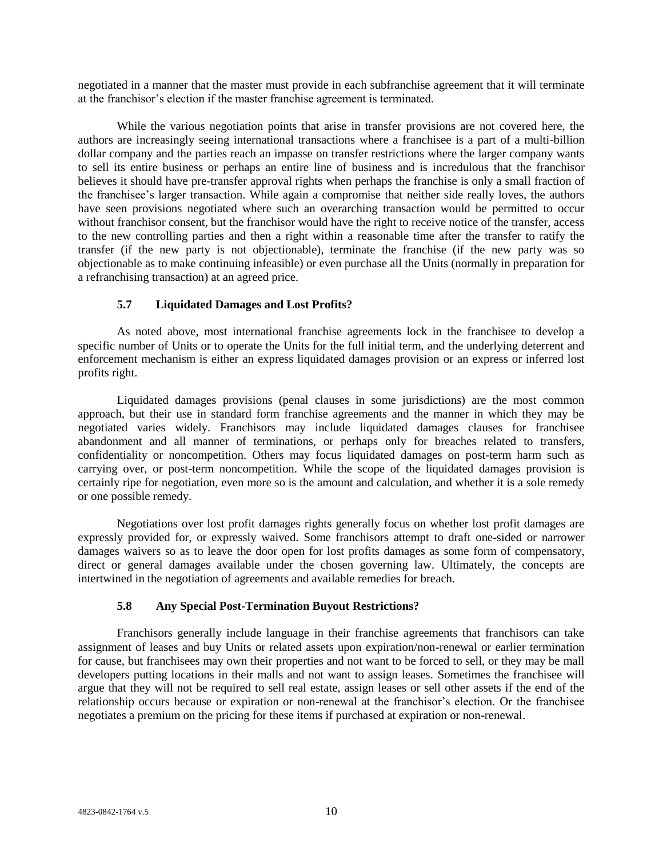negotiated in a manner that the master must provide in each subfranchise agreement that it will terminate at the franchisor's election if the master franchise agreement is terminated.

While the various negotiation points that arise in transfer provisions are not covered here, the authors are increasingly seeing international transactions where a franchisee is a part of a multi-billion dollar company and the parties reach an impasse on transfer restrictions where the larger company wants to sell its entire business or perhaps an entire line of business and is incredulous that the franchisor believes it should have pre-transfer approval rights when perhaps the franchise is only a small fraction of the franchisee's larger transaction. While again a compromise that neither side really loves, the authors have seen provisions negotiated where such an overarching transaction would be permitted to occur without franchisor consent, but the franchisor would have the right to receive notice of the transfer, access to the new controlling parties and then a right within a reasonable time after the transfer to ratify the transfer (if the new party is not objectionable), terminate the franchise (if the new party was so objectionable as to make continuing infeasible) or even purchase all the Units (normally in preparation for a refranchising transaction) at an agreed price.

## **5.7 Liquidated Damages and Lost Profits?**

As noted above, most international franchise agreements lock in the franchisee to develop a specific number of Units or to operate the Units for the full initial term, and the underlying deterrent and enforcement mechanism is either an express liquidated damages provision or an express or inferred lost profits right.

Liquidated damages provisions (penal clauses in some jurisdictions) are the most common approach, but their use in standard form franchise agreements and the manner in which they may be negotiated varies widely. Franchisors may include liquidated damages clauses for franchisee abandonment and all manner of terminations, or perhaps only for breaches related to transfers, confidentiality or noncompetition. Others may focus liquidated damages on post-term harm such as carrying over, or post-term noncompetition. While the scope of the liquidated damages provision is certainly ripe for negotiation, even more so is the amount and calculation, and whether it is a sole remedy or one possible remedy.

Negotiations over lost profit damages rights generally focus on whether lost profit damages are expressly provided for, or expressly waived. Some franchisors attempt to draft one-sided or narrower damages waivers so as to leave the door open for lost profits damages as some form of compensatory, direct or general damages available under the chosen governing law. Ultimately, the concepts are intertwined in the negotiation of agreements and available remedies for breach.

#### **5.8 Any Special Post-Termination Buyout Restrictions?**

Franchisors generally include language in their franchise agreements that franchisors can take assignment of leases and buy Units or related assets upon expiration/non-renewal or earlier termination for cause, but franchisees may own their properties and not want to be forced to sell, or they may be mall developers putting locations in their malls and not want to assign leases. Sometimes the franchisee will argue that they will not be required to sell real estate, assign leases or sell other assets if the end of the relationship occurs because or expiration or non-renewal at the franchisor's election. Or the franchisee negotiates a premium on the pricing for these items if purchased at expiration or non-renewal.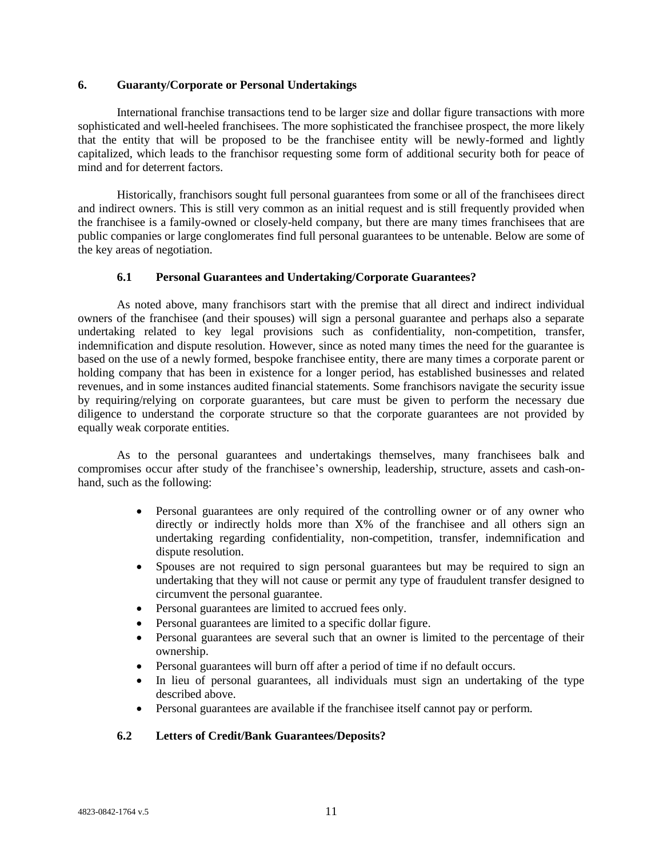### **6. Guaranty/Corporate or Personal Undertakings**

International franchise transactions tend to be larger size and dollar figure transactions with more sophisticated and well-heeled franchisees. The more sophisticated the franchisee prospect, the more likely that the entity that will be proposed to be the franchisee entity will be newly-formed and lightly capitalized, which leads to the franchisor requesting some form of additional security both for peace of mind and for deterrent factors.

Historically, franchisors sought full personal guarantees from some or all of the franchisees direct and indirect owners. This is still very common as an initial request and is still frequently provided when the franchisee is a family-owned or closely-held company, but there are many times franchisees that are public companies or large conglomerates find full personal guarantees to be untenable. Below are some of the key areas of negotiation.

## **6.1 Personal Guarantees and Undertaking/Corporate Guarantees?**

As noted above, many franchisors start with the premise that all direct and indirect individual owners of the franchisee (and their spouses) will sign a personal guarantee and perhaps also a separate undertaking related to key legal provisions such as confidentiality, non-competition, transfer, indemnification and dispute resolution. However, since as noted many times the need for the guarantee is based on the use of a newly formed, bespoke franchisee entity, there are many times a corporate parent or holding company that has been in existence for a longer period, has established businesses and related revenues, and in some instances audited financial statements. Some franchisors navigate the security issue by requiring/relying on corporate guarantees, but care must be given to perform the necessary due diligence to understand the corporate structure so that the corporate guarantees are not provided by equally weak corporate entities.

As to the personal guarantees and undertakings themselves, many franchisees balk and compromises occur after study of the franchisee's ownership, leadership, structure, assets and cash-onhand, such as the following:

- Personal guarantees are only required of the controlling owner or of any owner who directly or indirectly holds more than X% of the franchisee and all others sign an undertaking regarding confidentiality, non-competition, transfer, indemnification and dispute resolution.
- Spouses are not required to sign personal guarantees but may be required to sign an undertaking that they will not cause or permit any type of fraudulent transfer designed to circumvent the personal guarantee.
- Personal guarantees are limited to accrued fees only.
- Personal guarantees are limited to a specific dollar figure.
- Personal guarantees are several such that an owner is limited to the percentage of their ownership.
- Personal guarantees will burn off after a period of time if no default occurs.
- In lieu of personal guarantees, all individuals must sign an undertaking of the type described above.
- Personal guarantees are available if the franchisee itself cannot pay or perform.

# **6.2 Letters of Credit/Bank Guarantees/Deposits?**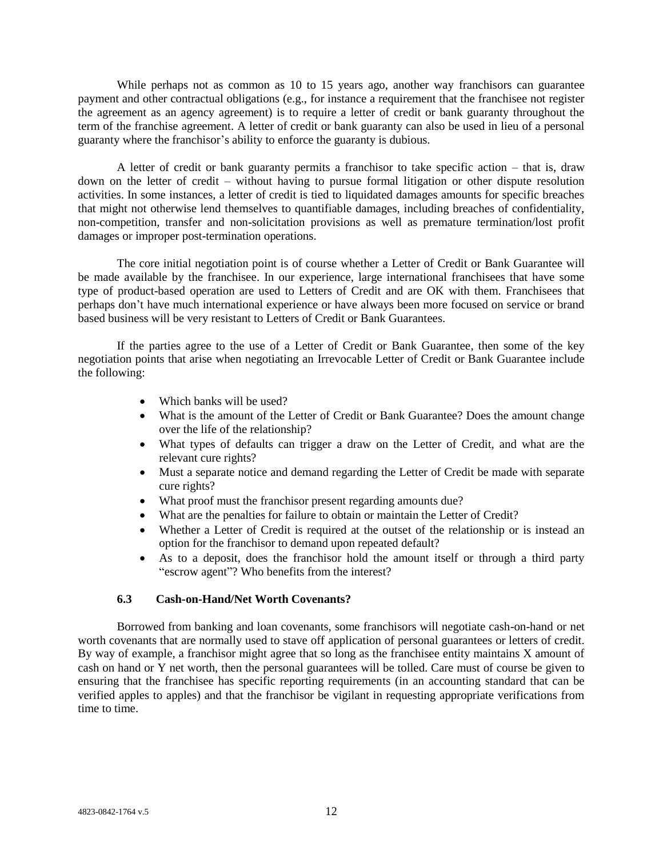While perhaps not as common as 10 to 15 years ago, another way franchisors can guarantee payment and other contractual obligations (e.g., for instance a requirement that the franchisee not register the agreement as an agency agreement) is to require a letter of credit or bank guaranty throughout the term of the franchise agreement. A letter of credit or bank guaranty can also be used in lieu of a personal guaranty where the franchisor's ability to enforce the guaranty is dubious.

A letter of credit or bank guaranty permits a franchisor to take specific action – that is, draw down on the letter of credit – without having to pursue formal litigation or other dispute resolution activities. In some instances, a letter of credit is tied to liquidated damages amounts for specific breaches that might not otherwise lend themselves to quantifiable damages, including breaches of confidentiality, non-competition, transfer and non-solicitation provisions as well as premature termination/lost profit damages or improper post-termination operations.

The core initial negotiation point is of course whether a Letter of Credit or Bank Guarantee will be made available by the franchisee. In our experience, large international franchisees that have some type of product-based operation are used to Letters of Credit and are OK with them. Franchisees that perhaps don't have much international experience or have always been more focused on service or brand based business will be very resistant to Letters of Credit or Bank Guarantees.

If the parties agree to the use of a Letter of Credit or Bank Guarantee, then some of the key negotiation points that arise when negotiating an Irrevocable Letter of Credit or Bank Guarantee include the following:

- Which banks will be used?
- What is the amount of the Letter of Credit or Bank Guarantee? Does the amount change over the life of the relationship?
- What types of defaults can trigger a draw on the Letter of Credit, and what are the relevant cure rights?
- Must a separate notice and demand regarding the Letter of Credit be made with separate cure rights?
- What proof must the franchisor present regarding amounts due?
- What are the penalties for failure to obtain or maintain the Letter of Credit?
- Whether a Letter of Credit is required at the outset of the relationship or is instead an option for the franchisor to demand upon repeated default?
- As to a deposit, does the franchisor hold the amount itself or through a third party "escrow agent"? Who benefits from the interest?

## **6.3 Cash-on-Hand/Net Worth Covenants?**

Borrowed from banking and loan covenants, some franchisors will negotiate cash-on-hand or net worth covenants that are normally used to stave off application of personal guarantees or letters of credit. By way of example, a franchisor might agree that so long as the franchisee entity maintains X amount of cash on hand or Y net worth, then the personal guarantees will be tolled. Care must of course be given to ensuring that the franchisee has specific reporting requirements (in an accounting standard that can be verified apples to apples) and that the franchisor be vigilant in requesting appropriate verifications from time to time.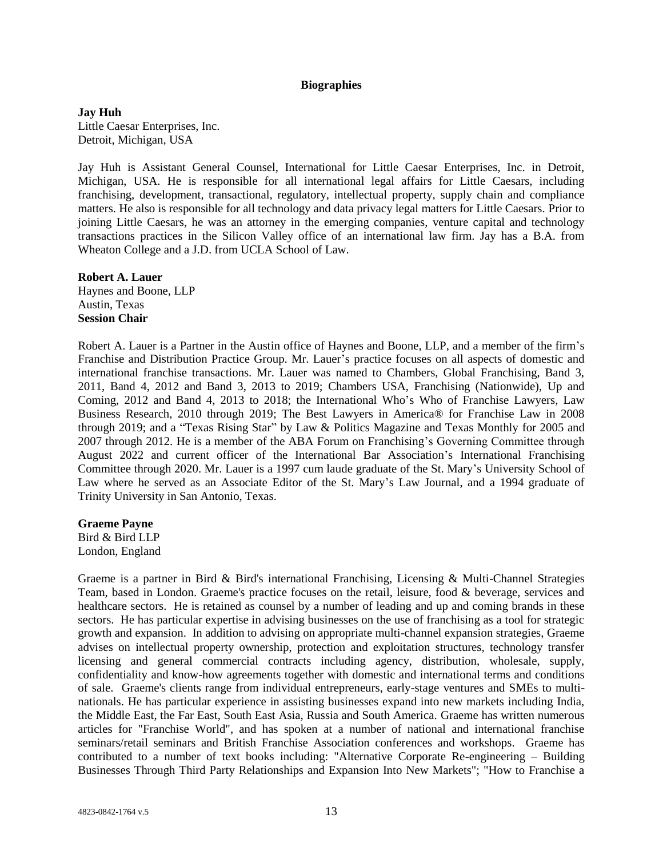#### **Biographies**

**Jay Huh** Little Caesar Enterprises, Inc. Detroit, Michigan, USA

Jay Huh is Assistant General Counsel, International for Little Caesar Enterprises, Inc. in Detroit, Michigan, USA. He is responsible for all international legal affairs for Little Caesars, including franchising, development, transactional, regulatory, intellectual property, supply chain and compliance matters. He also is responsible for all technology and data privacy legal matters for Little Caesars. Prior to joining Little Caesars, he was an attorney in the emerging companies, venture capital and technology transactions practices in the Silicon Valley office of an international law firm. Jay has a B.A. from Wheaton College and a J.D. from UCLA School of Law.

**Robert A. Lauer** Haynes and Boone, LLP Austin, Texas **Session Chair** 

Robert A. Lauer is a Partner in the Austin office of Haynes and Boone, LLP, and a member of the firm's Franchise and Distribution Practice Group. Mr. Lauer's practice focuses on all aspects of domestic and international franchise transactions. Mr. Lauer was named to Chambers, Global Franchising, Band 3, 2011, Band 4, 2012 and Band 3, 2013 to 2019; Chambers USA, Franchising (Nationwide), Up and Coming, 2012 and Band 4, 2013 to 2018; the International Who's Who of Franchise Lawyers, Law Business Research, 2010 through 2019; The Best Lawyers in America® for Franchise Law in 2008 through 2019; and a "Texas Rising Star" by Law & Politics Magazine and Texas Monthly for 2005 and 2007 through 2012. He is a member of the ABA Forum on Franchising's Governing Committee through August 2022 and current officer of the International Bar Association's International Franchising Committee through 2020. Mr. Lauer is a 1997 cum laude graduate of the St. Mary's University School of Law where he served as an Associate Editor of the St. Mary's Law Journal, and a 1994 graduate of Trinity University in San Antonio, Texas.

#### **Graeme Payne**

Bird & Bird LLP London, England

Graeme is a partner in Bird & Bird's international Franchising, Licensing & Multi-Channel Strategies Team, based in London. Graeme's practice focuses on the retail, leisure, food & beverage, services and healthcare sectors. He is retained as counsel by a number of leading and up and coming brands in these sectors. He has particular expertise in advising businesses on the use of franchising as a tool for strategic growth and expansion. In addition to advising on appropriate multi-channel expansion strategies, Graeme advises on intellectual property ownership, protection and exploitation structures, technology transfer licensing and general commercial contracts including agency, distribution, wholesale, supply, confidentiality and know-how agreements together with domestic and international terms and conditions of sale. Graeme's clients range from individual entrepreneurs, early-stage ventures and SMEs to multinationals. He has particular experience in assisting businesses expand into new markets including India, the Middle East, the Far East, South East Asia, Russia and South America. Graeme has written numerous articles for "Franchise World", and has spoken at a number of national and international franchise seminars/retail seminars and British Franchise Association conferences and workshops. Graeme has contributed to a number of text books including: "Alternative Corporate Re-engineering – Building Businesses Through Third Party Relationships and Expansion Into New Markets"; "How to Franchise a